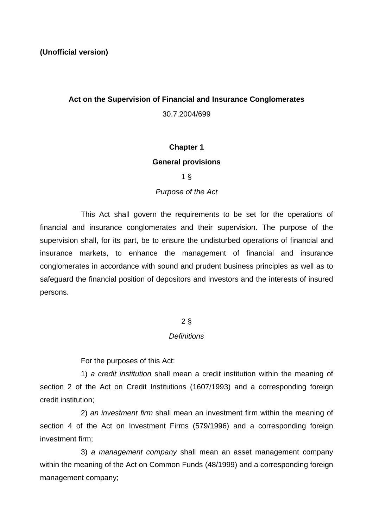# **Act on the Supervision of Financial and Insurance Conglomerates**

30.7.2004/699

# **Chapter 1**

## **General provisions**

# 1 §

# *Purpose of the Act*

This Act shall govern the requirements to be set for the operations of financial and insurance conglomerates and their supervision. The purpose of the supervision shall, for its part, be to ensure the undisturbed operations of financial and insurance markets, to enhance the management of financial and insurance conglomerates in accordance with sound and prudent business principles as well as to safeguard the financial position of depositors and investors and the interests of insured persons.

# 2 §

## *Definitions*

For the purposes of this Act:

1) *a credit institution* shall mean a credit institution within the meaning of section 2 of the Act on Credit Institutions (1607/1993) and a corresponding foreign credit institution;

2) *an investment firm* shall mean an investment firm within the meaning of section 4 of the Act on Investment Firms (579/1996) and a corresponding foreign investment firm;

3) *a management company* shall mean an asset management company within the meaning of the Act on Common Funds (48/1999) and a corresponding foreign management company;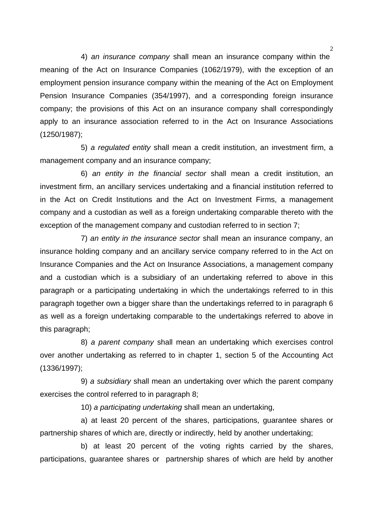4) *an insurance company* shall mean an insurance company within the meaning of the Act on Insurance Companies (1062/1979), with the exception of an employment pension insurance company within the meaning of the Act on Employment Pension Insurance Companies (354/1997), and a corresponding foreign insurance company; the provisions of this Act on an insurance company shall correspondingly apply to an insurance association referred to in the Act on Insurance Associations (1250/1987);

5) *a regulated entity* shall mean a credit institution, an investment firm, a management company and an insurance company;

6) *an entity in the financial sector* shall mean a credit institution, an investment firm, an ancillary services undertaking and a financial institution referred to in the Act on Credit Institutions and the Act on Investment Firms, a management company and a custodian as well as a foreign undertaking comparable thereto with the exception of the management company and custodian referred to in section 7;

7) *an entity in the insurance sector* shall mean an insurance company, an insurance holding company and an ancillary service company referred to in the Act on Insurance Companies and the Act on Insurance Associations, a management company and a custodian which is a subsidiary of an undertaking referred to above in this paragraph or a participating undertaking in which the undertakings referred to in this paragraph together own a bigger share than the undertakings referred to in paragraph 6 as well as a foreign undertaking comparable to the undertakings referred to above in this paragraph;

8) *a parent company* shall mean an undertaking which exercises control over another undertaking as referred to in chapter 1, section 5 of the Accounting Act (1336/1997);

9) *a subsidiary* shall mean an undertaking over which the parent company exercises the control referred to in paragraph 8;

10) *a participating undertaking* shall mean an undertaking,

a) at least 20 percent of the shares, participations, guarantee shares or partnership shares of which are, directly or indirectly, held by another undertaking;

b) at least 20 percent of the voting rights carried by the shares, participations, guarantee shares or partnership shares of which are held by another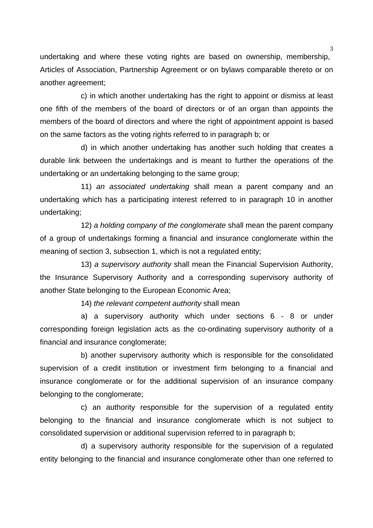undertaking and where these voting rights are based on ownership, membership, Articles of Association, Partnership Agreement or on bylaws comparable thereto or on another agreement;

c) in which another undertaking has the right to appoint or dismiss at least one fifth of the members of the board of directors or of an organ than appoints the members of the board of directors and where the right of appointment appoint is based on the same factors as the voting rights referred to in paragraph b; or

d) in which another undertaking has another such holding that creates a durable link between the undertakings and is meant to further the operations of the undertaking or an undertaking belonging to the same group;

11) *an associated undertaking* shall mean a parent company and an undertaking which has a participating interest referred to in paragraph 10 in another undertaking;

12) *a holding company of the conglomerate* shall mean the parent company of a group of undertakings forming a financial and insurance conglomerate within the meaning of section 3, subsection 1, which is not a regulated entity;

13) *a supervisory authority* shall mean the Financial Supervision Authority, the Insurance Supervisory Authority and a corresponding supervisory authority of another State belonging to the European Economic Area;

14) *the relevant competent authority* shall mean

a) a supervisory authority which under sections 6 - 8 or under corresponding foreign legislation acts as the co-ordinating supervisory authority of a financial and insurance conglomerate;

b) another supervisory authority which is responsible for the consolidated supervision of a credit institution or investment firm belonging to a financial and insurance conglomerate or for the additional supervision of an insurance company belonging to the conglomerate;

c) an authority responsible for the supervision of a regulated entity belonging to the financial and insurance conglomerate which is not subject to consolidated supervision or additional supervision referred to in paragraph b;

d) a supervisory authority responsible for the supervision of a regulated entity belonging to the financial and insurance conglomerate other than one referred to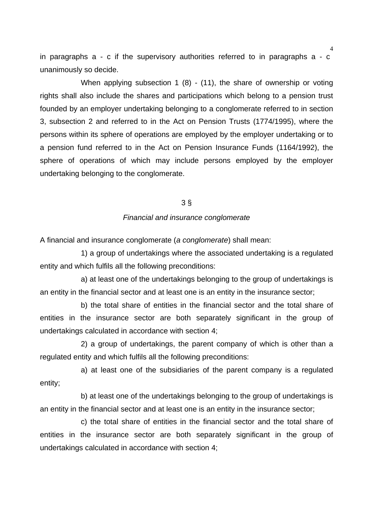in paragraphs a - c if the supervisory authorities referred to in paragraphs a - c unanimously so decide.

When applying subsection 1 (8) - (11), the share of ownership or voting rights shall also include the shares and participations which belong to a pension trust founded by an employer undertaking belonging to a conglomerate referred to in section 3, subsection 2 and referred to in the Act on Pension Trusts (1774/1995), where the persons within its sphere of operations are employed by the employer undertaking or to a pension fund referred to in the Act on Pension Insurance Funds (1164/1992), the sphere of operations of which may include persons employed by the employer undertaking belonging to the conglomerate.

## 3 §

#### *Financial and insurance conglomerate*

A financial and insurance conglomerate (*a conglomerate*) shall mean:

1) a group of undertakings where the associated undertaking is a regulated entity and which fulfils all the following preconditions:

a) at least one of the undertakings belonging to the group of undertakings is an entity in the financial sector and at least one is an entity in the insurance sector;

b) the total share of entities in the financial sector and the total share of entities in the insurance sector are both separately significant in the group of undertakings calculated in accordance with section 4;

2) a group of undertakings, the parent company of which is other than a regulated entity and which fulfils all the following preconditions:

a) at least one of the subsidiaries of the parent company is a regulated entity;

b) at least one of the undertakings belonging to the group of undertakings is an entity in the financial sector and at least one is an entity in the insurance sector;

c) the total share of entities in the financial sector and the total share of entities in the insurance sector are both separately significant in the group of undertakings calculated in accordance with section 4;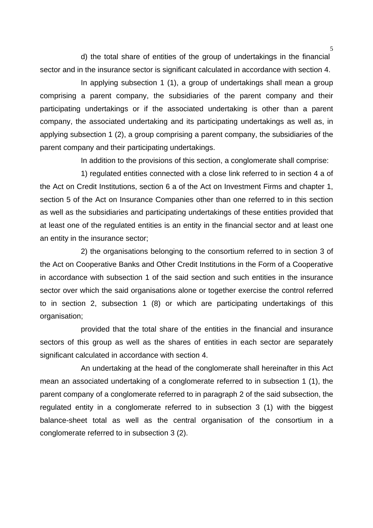d) the total share of entities of the group of undertakings in the financial sector and in the insurance sector is significant calculated in accordance with section 4.

In applying subsection 1 (1), a group of undertakings shall mean a group comprising a parent company, the subsidiaries of the parent company and their participating undertakings or if the associated undertaking is other than a parent company, the associated undertaking and its participating undertakings as well as, in applying subsection 1 (2), a group comprising a parent company, the subsidiaries of the parent company and their participating undertakings.

In addition to the provisions of this section, a conglomerate shall comprise:

1) regulated entities connected with a close link referred to in section 4 a of the Act on Credit Institutions, section 6 a of the Act on Investment Firms and chapter 1, section 5 of the Act on Insurance Companies other than one referred to in this section as well as the subsidiaries and participating undertakings of these entities provided that at least one of the regulated entities is an entity in the financial sector and at least one an entity in the insurance sector;

2) the organisations belonging to the consortium referred to in section 3 of the Act on Cooperative Banks and Other Credit Institutions in the Form of a Cooperative in accordance with subsection 1 of the said section and such entities in the insurance sector over which the said organisations alone or together exercise the control referred to in section 2, subsection 1 (8) or which are participating undertakings of this organisation;

provided that the total share of the entities in the financial and insurance sectors of this group as well as the shares of entities in each sector are separately significant calculated in accordance with section 4.

An undertaking at the head of the conglomerate shall hereinafter in this Act mean an associated undertaking of a conglomerate referred to in subsection 1 (1), the parent company of a conglomerate referred to in paragraph 2 of the said subsection, the regulated entity in a conglomerate referred to in subsection 3 (1) with the biggest balance-sheet total as well as the central organisation of the consortium in a conglomerate referred to in subsection 3 (2).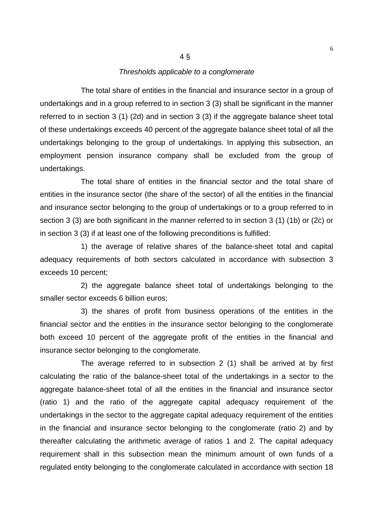#### *Thresholds applicable to a conglomerate*

4 §

The total share of entities in the financial and insurance sector in a group of undertakings and in a group referred to in section 3 (3) shall be significant in the manner referred to in section 3 (1) (2d) and in section 3 (3) if the aggregate balance sheet total of these undertakings exceeds 40 percent of the aggregate balance sheet total of all the undertakings belonging to the group of undertakings. In applying this subsection, an employment pension insurance company shall be excluded from the group of undertakings.

The total share of entities in the financial sector and the total share of entities in the insurance sector (the share of the sector) of all the entities in the financial and insurance sector belonging to the group of undertakings or to a group referred to in section 3 (3) are both significant in the manner referred to in section 3 (1) (1b) or (2c) or in section 3 (3) if at least one of the following preconditions is fulfilled:

1) the average of relative shares of the balance-sheet total and capital adequacy requirements of both sectors calculated in accordance with subsection 3 exceeds 10 percent;

2) the aggregate balance sheet total of undertakings belonging to the smaller sector exceeds 6 billion euros;

3) the shares of profit from business operations of the entities in the financial sector and the entities in the insurance sector belonging to the conglomerate both exceed 10 percent of the aggregate profit of the entities in the financial and insurance sector belonging to the conglomerate.

The average referred to in subsection 2 (1) shall be arrived at by first calculating the ratio of the balance-sheet total of the undertakings in a sector to the aggregate balance-sheet total of all the entities in the financial and insurance sector (ratio 1) and the ratio of the aggregate capital adequacy requirement of the undertakings in the sector to the aggregate capital adequacy requirement of the entities in the financial and insurance sector belonging to the conglomerate (ratio 2) and by thereafter calculating the arithmetic average of ratios 1 and 2. The capital adequacy requirement shall in this subsection mean the minimum amount of own funds of a regulated entity belonging to the conglomerate calculated in accordance with section 18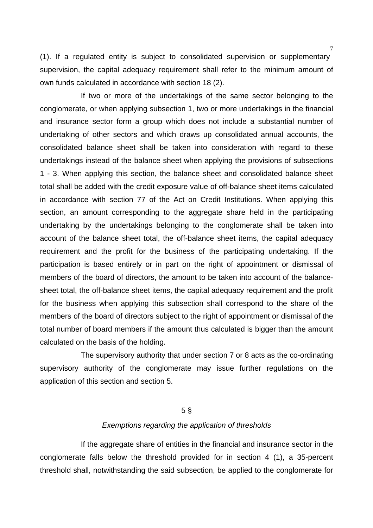(1). If a regulated entity is subject to consolidated supervision or supplementary supervision, the capital adequacy requirement shall refer to the minimum amount of own funds calculated in accordance with section 18 (2).

If two or more of the undertakings of the same sector belonging to the conglomerate, or when applying subsection 1, two or more undertakings in the financial and insurance sector form a group which does not include a substantial number of undertaking of other sectors and which draws up consolidated annual accounts, the consolidated balance sheet shall be taken into consideration with regard to these undertakings instead of the balance sheet when applying the provisions of subsections 1 - 3. When applying this section, the balance sheet and consolidated balance sheet total shall be added with the credit exposure value of off-balance sheet items calculated in accordance with section 77 of the Act on Credit Institutions. When applying this section, an amount corresponding to the aggregate share held in the participating undertaking by the undertakings belonging to the conglomerate shall be taken into account of the balance sheet total, the off-balance sheet items, the capital adequacy requirement and the profit for the business of the participating undertaking. If the participation is based entirely or in part on the right of appointment or dismissal of members of the board of directors, the amount to be taken into account of the balancesheet total, the off-balance sheet items, the capital adequacy requirement and the profit for the business when applying this subsection shall correspond to the share of the members of the board of directors subject to the right of appointment or dismissal of the total number of board members if the amount thus calculated is bigger than the amount calculated on the basis of the holding.

The supervisory authority that under section 7 or 8 acts as the co-ordinating supervisory authority of the conglomerate may issue further regulations on the application of this section and section 5.

#### 5 §

#### *Exemptions regarding the application of thresholds*

If the aggregate share of entities in the financial and insurance sector in the conglomerate falls below the threshold provided for in section 4 (1), a 35-percent threshold shall, notwithstanding the said subsection, be applied to the conglomerate for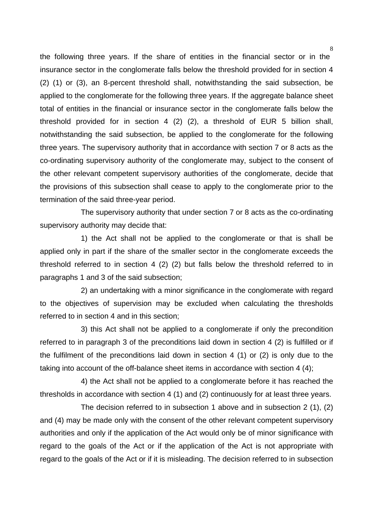the following three years. If the share of entities in the financial sector or in the insurance sector in the conglomerate falls below the threshold provided for in section 4 (2) (1) or (3), an 8-percent threshold shall, notwithstanding the said subsection, be applied to the conglomerate for the following three years. If the aggregate balance sheet total of entities in the financial or insurance sector in the conglomerate falls below the threshold provided for in section 4 (2) (2), a threshold of EUR 5 billion shall, notwithstanding the said subsection, be applied to the conglomerate for the following three years. The supervisory authority that in accordance with section 7 or 8 acts as the co-ordinating supervisory authority of the conglomerate may, subject to the consent of the other relevant competent supervisory authorities of the conglomerate, decide that the provisions of this subsection shall cease to apply to the conglomerate prior to the termination of the said three-year period.

The supervisory authority that under section 7 or 8 acts as the co-ordinating supervisory authority may decide that:

1) the Act shall not be applied to the conglomerate or that is shall be applied only in part if the share of the smaller sector in the conglomerate exceeds the threshold referred to in section 4 (2) (2) but falls below the threshold referred to in paragraphs 1 and 3 of the said subsection;

2) an undertaking with a minor significance in the conglomerate with regard to the objectives of supervision may be excluded when calculating the thresholds referred to in section 4 and in this section;

3) this Act shall not be applied to a conglomerate if only the precondition referred to in paragraph 3 of the preconditions laid down in section 4 (2) is fulfilled or if the fulfilment of the preconditions laid down in section 4 (1) or (2) is only due to the taking into account of the off-balance sheet items in accordance with section 4 (4);

4) the Act shall not be applied to a conglomerate before it has reached the thresholds in accordance with section 4 (1) and (2) continuously for at least three years.

The decision referred to in subsection 1 above and in subsection 2 (1), (2) and (4) may be made only with the consent of the other relevant competent supervisory authorities and only if the application of the Act would only be of minor significance with regard to the goals of the Act or if the application of the Act is not appropriate with regard to the goals of the Act or if it is misleading. The decision referred to in subsection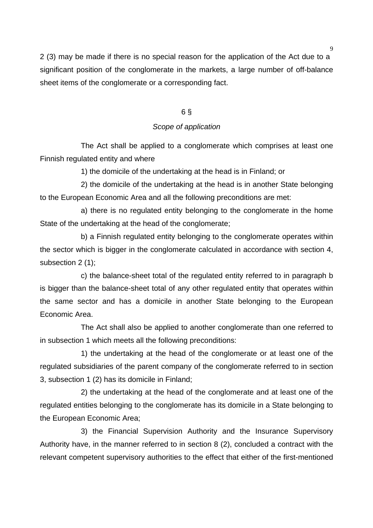2 (3) may be made if there is no special reason for the application of the Act due to a significant position of the conglomerate in the markets, a large number of off-balance sheet items of the conglomerate or a corresponding fact.

## 6 §

#### *Scope of application*

The Act shall be applied to a conglomerate which comprises at least one Finnish regulated entity and where

1) the domicile of the undertaking at the head is in Finland; or

2) the domicile of the undertaking at the head is in another State belonging to the European Economic Area and all the following preconditions are met:

a) there is no regulated entity belonging to the conglomerate in the home State of the undertaking at the head of the conglomerate;

b) a Finnish regulated entity belonging to the conglomerate operates within the sector which is bigger in the conglomerate calculated in accordance with section 4, subsection 2 (1);

c) the balance-sheet total of the regulated entity referred to in paragraph b is bigger than the balance-sheet total of any other regulated entity that operates within the same sector and has a domicile in another State belonging to the European Economic Area.

The Act shall also be applied to another conglomerate than one referred to in subsection 1 which meets all the following preconditions:

1) the undertaking at the head of the conglomerate or at least one of the regulated subsidiaries of the parent company of the conglomerate referred to in section 3, subsection 1 (2) has its domicile in Finland;

2) the undertaking at the head of the conglomerate and at least one of the regulated entities belonging to the conglomerate has its domicile in a State belonging to the European Economic Area;

3) the Financial Supervision Authority and the Insurance Supervisory Authority have, in the manner referred to in section 8 (2), concluded a contract with the relevant competent supervisory authorities to the effect that either of the first-mentioned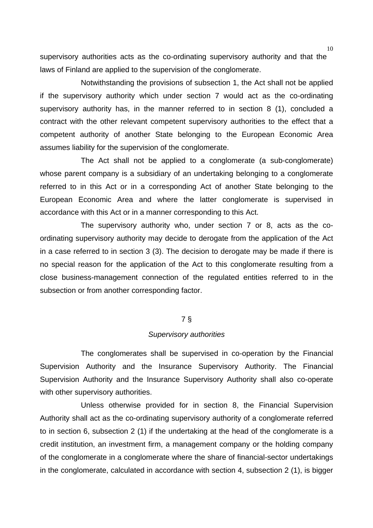supervisory authorities acts as the co-ordinating supervisory authority and that the laws of Finland are applied to the supervision of the conglomerate.

Notwithstanding the provisions of subsection 1, the Act shall not be applied if the supervisory authority which under section 7 would act as the co-ordinating supervisory authority has, in the manner referred to in section 8 (1), concluded a contract with the other relevant competent supervisory authorities to the effect that a competent authority of another State belonging to the European Economic Area assumes liability for the supervision of the conglomerate.

The Act shall not be applied to a conglomerate (a sub-conglomerate) whose parent company is a subsidiary of an undertaking belonging to a conglomerate referred to in this Act or in a corresponding Act of another State belonging to the European Economic Area and where the latter conglomerate is supervised in accordance with this Act or in a manner corresponding to this Act.

The supervisory authority who, under section 7 or 8, acts as the coordinating supervisory authority may decide to derogate from the application of the Act in a case referred to in section 3 (3). The decision to derogate may be made if there is no special reason for the application of the Act to this conglomerate resulting from a close business-management connection of the regulated entities referred to in the subsection or from another corresponding factor.

# 7 §

## *Supervisory authorities*

The conglomerates shall be supervised in co-operation by the Financial Supervision Authority and the Insurance Supervisory Authority. The Financial Supervision Authority and the Insurance Supervisory Authority shall also co-operate with other supervisory authorities.

Unless otherwise provided for in section 8, the Financial Supervision Authority shall act as the co-ordinating supervisory authority of a conglomerate referred to in section 6, subsection 2 (1) if the undertaking at the head of the conglomerate is a credit institution, an investment firm, a management company or the holding company of the conglomerate in a conglomerate where the share of financial-sector undertakings in the conglomerate, calculated in accordance with section 4, subsection 2 (1), is bigger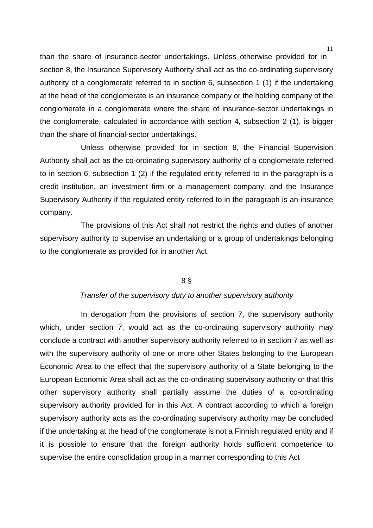than the share of insurance-sector undertakings. Unless otherwise provided for in section 8, the Insurance Supervisory Authority shall act as the co-ordinating supervisory authority of a conglomerate referred to in section 6, subsection 1 (1) if the undertaking at the head of the conglomerate is an insurance company or the holding company of the conglomerate in a conglomerate where the share of insurance-sector undertakings in the conglomerate, calculated in accordance with section 4, subsection 2 (1), is bigger than the share of financial-sector undertakings.

Unless otherwise provided for in section 8, the Financial Supervision Authority shall act as the co-ordinating supervisory authority of a conglomerate referred to in section 6, subsection 1 (2) if the regulated entity referred to in the paragraph is a credit institution, an investment firm or a management company, and the Insurance Supervisory Authority if the regulated entity referred to in the paragraph is an insurance company.

The provisions of this Act shall not restrict the rights and duties of another supervisory authority to supervise an undertaking or a group of undertakings belonging to the conglomerate as provided for in another Act.

#### 8 §

#### *Transfer of the supervisory duty to another supervisory authority*

In derogation from the provisions of section 7, the supervisory authority which, under section 7, would act as the co-ordinating supervisory authority may conclude a contract with another supervisory authority referred to in section 7 as well as with the supervisory authority of one or more other States belonging to the European Economic Area to the effect that the supervisory authority of a State belonging to the European Economic Area shall act as the co-ordinating supervisory authority or that this other supervisory authority shall partially assume the duties of a co-ordinating supervisory authority provided for in this Act. A contract according to which a foreign supervisory authority acts as the co-ordinating supervisory authority may be concluded if the undertaking at the head of the conglomerate is not a Finnish regulated entity and if it is possible to ensure that the foreign authority holds sufficient competence to supervise the entire consolidation group in a manner corresponding to this Act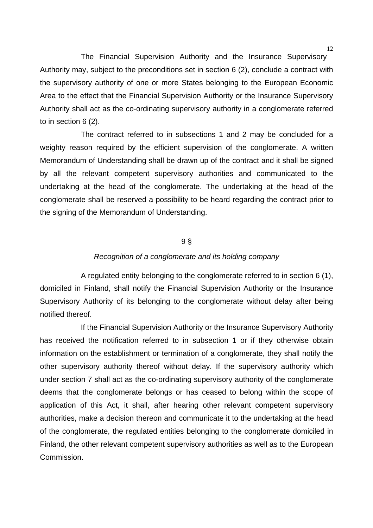The Financial Supervision Authority and the Insurance Supervisory Authority may, subject to the preconditions set in section 6 (2), conclude a contract with the supervisory authority of one or more States belonging to the European Economic Area to the effect that the Financial Supervision Authority or the Insurance Supervisory Authority shall act as the co-ordinating supervisory authority in a conglomerate referred to in section 6 (2).

The contract referred to in subsections 1 and 2 may be concluded for a weighty reason required by the efficient supervision of the conglomerate. A written Memorandum of Understanding shall be drawn up of the contract and it shall be signed by all the relevant competent supervisory authorities and communicated to the undertaking at the head of the conglomerate. The undertaking at the head of the conglomerate shall be reserved a possibility to be heard regarding the contract prior to the signing of the Memorandum of Understanding.

## 9 §

#### *Recognition of a conglomerate and its holding company*

A regulated entity belonging to the conglomerate referred to in section 6 (1), domiciled in Finland, shall notify the Financial Supervision Authority or the Insurance Supervisory Authority of its belonging to the conglomerate without delay after being notified thereof.

If the Financial Supervision Authority or the Insurance Supervisory Authority has received the notification referred to in subsection 1 or if they otherwise obtain information on the establishment or termination of a conglomerate, they shall notify the other supervisory authority thereof without delay. If the supervisory authority which under section 7 shall act as the co-ordinating supervisory authority of the conglomerate deems that the conglomerate belongs or has ceased to belong within the scope of application of this Act, it shall, after hearing other relevant competent supervisory authorities, make a decision thereon and communicate it to the undertaking at the head of the conglomerate, the regulated entities belonging to the conglomerate domiciled in Finland, the other relevant competent supervisory authorities as well as to the European Commission.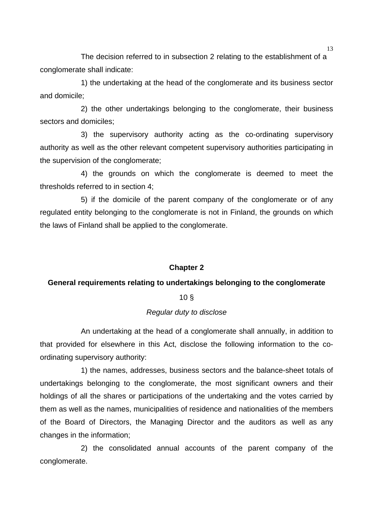The decision referred to in subsection 2 relating to the establishment of a conglomerate shall indicate:

1) the undertaking at the head of the conglomerate and its business sector and domicile;

2) the other undertakings belonging to the conglomerate, their business sectors and domiciles;

3) the supervisory authority acting as the co-ordinating supervisory authority as well as the other relevant competent supervisory authorities participating in the supervision of the conglomerate;

4) the grounds on which the conglomerate is deemed to meet the thresholds referred to in section 4;

5) if the domicile of the parent company of the conglomerate or of any regulated entity belonging to the conglomerate is not in Finland, the grounds on which the laws of Finland shall be applied to the conglomerate.

## **Chapter 2**

## **General requirements relating to undertakings belonging to the conglomerate**

## 10 §

# *Regular duty to disclose*

An undertaking at the head of a conglomerate shall annually, in addition to that provided for elsewhere in this Act, disclose the following information to the coordinating supervisory authority:

1) the names, addresses, business sectors and the balance-sheet totals of undertakings belonging to the conglomerate, the most significant owners and their holdings of all the shares or participations of the undertaking and the votes carried by them as well as the names, municipalities of residence and nationalities of the members of the Board of Directors, the Managing Director and the auditors as well as any changes in the information;

2) the consolidated annual accounts of the parent company of the conglomerate.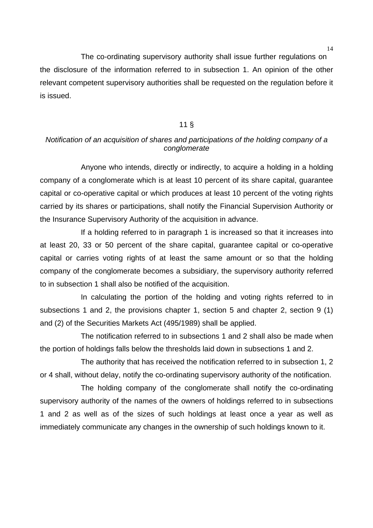The co-ordinating supervisory authority shall issue further regulations on the disclosure of the information referred to in subsection 1. An opinion of the other relevant competent supervisory authorities shall be requested on the regulation before it is issued.

## 11 §

# *Notification of an acquisition of shares and participations of the holding company of a conglomerate*

Anyone who intends, directly or indirectly, to acquire a holding in a holding company of a conglomerate which is at least 10 percent of its share capital, guarantee capital or co-operative capital or which produces at least 10 percent of the voting rights carried by its shares or participations, shall notify the Financial Supervision Authority or the Insurance Supervisory Authority of the acquisition in advance.

If a holding referred to in paragraph 1 is increased so that it increases into at least 20, 33 or 50 percent of the share capital, guarantee capital or co-operative capital or carries voting rights of at least the same amount or so that the holding company of the conglomerate becomes a subsidiary, the supervisory authority referred to in subsection 1 shall also be notified of the acquisition.

In calculating the portion of the holding and voting rights referred to in subsections 1 and 2, the provisions chapter 1, section 5 and chapter 2, section 9 (1) and (2) of the Securities Markets Act (495/1989) shall be applied.

The notification referred to in subsections 1 and 2 shall also be made when the portion of holdings falls below the thresholds laid down in subsections 1 and 2.

The authority that has received the notification referred to in subsection 1, 2 or 4 shall, without delay, notify the co-ordinating supervisory authority of the notification.

The holding company of the conglomerate shall notify the co-ordinating supervisory authority of the names of the owners of holdings referred to in subsections 1 and 2 as well as of the sizes of such holdings at least once a year as well as immediately communicate any changes in the ownership of such holdings known to it.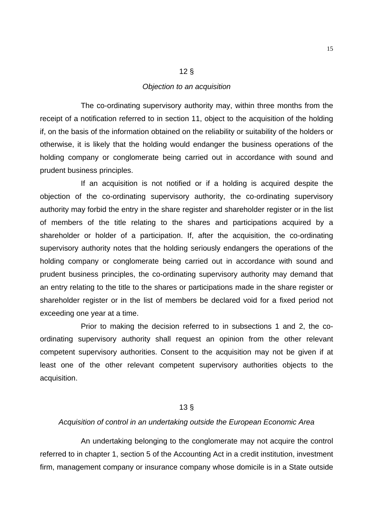# *Objection to an acquisition*

12 §

The co-ordinating supervisory authority may, within three months from the receipt of a notification referred to in section 11, object to the acquisition of the holding if, on the basis of the information obtained on the reliability or suitability of the holders or otherwise, it is likely that the holding would endanger the business operations of the holding company or conglomerate being carried out in accordance with sound and prudent business principles.

If an acquisition is not notified or if a holding is acquired despite the objection of the co-ordinating supervisory authority, the co-ordinating supervisory authority may forbid the entry in the share register and shareholder register or in the list of members of the title relating to the shares and participations acquired by a shareholder or holder of a participation. If, after the acquisition, the co-ordinating supervisory authority notes that the holding seriously endangers the operations of the holding company or conglomerate being carried out in accordance with sound and prudent business principles, the co-ordinating supervisory authority may demand that an entry relating to the title to the shares or participations made in the share register or shareholder register or in the list of members be declared void for a fixed period not exceeding one year at a time.

Prior to making the decision referred to in subsections 1 and 2, the coordinating supervisory authority shall request an opinion from the other relevant competent supervisory authorities. Consent to the acquisition may not be given if at least one of the other relevant competent supervisory authorities objects to the acquisition.

## 13 §

#### *Acquisition of control in an undertaking outside the European Economic Area*

An undertaking belonging to the conglomerate may not acquire the control referred to in chapter 1, section 5 of the Accounting Act in a credit institution, investment firm, management company or insurance company whose domicile is in a State outside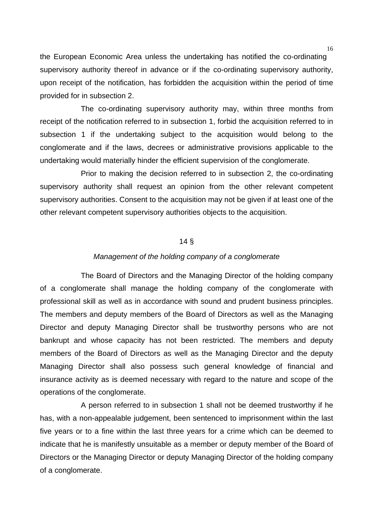the European Economic Area unless the undertaking has notified the co-ordinating supervisory authority thereof in advance or if the co-ordinating supervisory authority, upon receipt of the notification, has forbidden the acquisition within the period of time provided for in subsection 2.

The co-ordinating supervisory authority may, within three months from receipt of the notification referred to in subsection 1, forbid the acquisition referred to in subsection 1 if the undertaking subject to the acquisition would belong to the conglomerate and if the laws, decrees or administrative provisions applicable to the undertaking would materially hinder the efficient supervision of the conglomerate.

Prior to making the decision referred to in subsection 2, the co-ordinating supervisory authority shall request an opinion from the other relevant competent supervisory authorities. Consent to the acquisition may not be given if at least one of the other relevant competent supervisory authorities objects to the acquisition.

#### 14 §

#### *Management of the holding company of a conglomerate*

The Board of Directors and the Managing Director of the holding company of a conglomerate shall manage the holding company of the conglomerate with professional skill as well as in accordance with sound and prudent business principles. The members and deputy members of the Board of Directors as well as the Managing Director and deputy Managing Director shall be trustworthy persons who are not bankrupt and whose capacity has not been restricted. The members and deputy members of the Board of Directors as well as the Managing Director and the deputy Managing Director shall also possess such general knowledge of financial and insurance activity as is deemed necessary with regard to the nature and scope of the operations of the conglomerate.

A person referred to in subsection 1 shall not be deemed trustworthy if he has, with a non-appealable judgement, been sentenced to imprisonment within the last five years or to a fine within the last three years for a crime which can be deemed to indicate that he is manifestly unsuitable as a member or deputy member of the Board of Directors or the Managing Director or deputy Managing Director of the holding company of a conglomerate.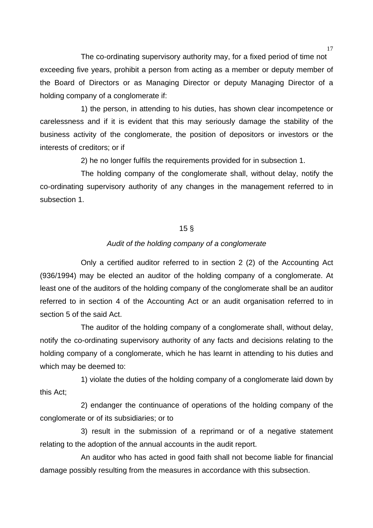The co-ordinating supervisory authority may, for a fixed period of time not exceeding five years, prohibit a person from acting as a member or deputy member of the Board of Directors or as Managing Director or deputy Managing Director of a holding company of a conglomerate if:

1) the person, in attending to his duties, has shown clear incompetence or carelessness and if it is evident that this may seriously damage the stability of the business activity of the conglomerate, the position of depositors or investors or the interests of creditors; or if

2) he no longer fulfils the requirements provided for in subsection 1.

The holding company of the conglomerate shall, without delay, notify the co-ordinating supervisory authority of any changes in the management referred to in subsection 1.

#### 15 §

## *Audit of the holding company of a conglomerate*

Only a certified auditor referred to in section 2 (2) of the Accounting Act (936/1994) may be elected an auditor of the holding company of a conglomerate. At least one of the auditors of the holding company of the conglomerate shall be an auditor referred to in section 4 of the Accounting Act or an audit organisation referred to in section 5 of the said Act.

The auditor of the holding company of a conglomerate shall, without delay, notify the co-ordinating supervisory authority of any facts and decisions relating to the holding company of a conglomerate, which he has learnt in attending to his duties and which may be deemed to:

1) violate the duties of the holding company of a conglomerate laid down by this Act;

2) endanger the continuance of operations of the holding company of the conglomerate or of its subsidiaries; or to

3) result in the submission of a reprimand or of a negative statement relating to the adoption of the annual accounts in the audit report.

An auditor who has acted in good faith shall not become liable for financial damage possibly resulting from the measures in accordance with this subsection.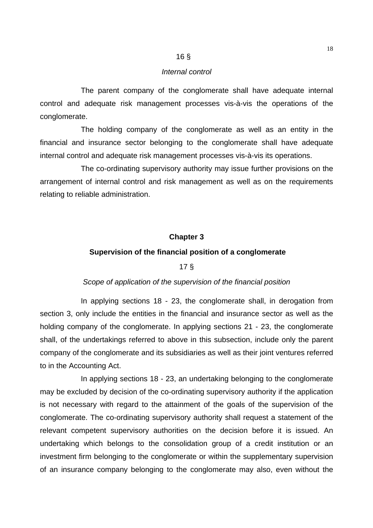## 16 §

#### *Internal control*

The parent company of the conglomerate shall have adequate internal control and adequate risk management processes vis-à-vis the operations of the conglomerate.

The holding company of the conglomerate as well as an entity in the financial and insurance sector belonging to the conglomerate shall have adequate internal control and adequate risk management processes vis-à-vis its operations.

The co-ordinating supervisory authority may issue further provisions on the arrangement of internal control and risk management as well as on the requirements relating to reliable administration.

#### **Chapter 3**

#### **Supervision of the financial position of a conglomerate**

# 17 §

#### *Scope of application of the supervision of the financial position*

In applying sections 18 - 23, the conglomerate shall, in derogation from section 3, only include the entities in the financial and insurance sector as well as the holding company of the conglomerate. In applying sections 21 - 23, the conglomerate shall, of the undertakings referred to above in this subsection, include only the parent company of the conglomerate and its subsidiaries as well as their joint ventures referred to in the Accounting Act.

In applying sections 18 - 23, an undertaking belonging to the conglomerate may be excluded by decision of the co-ordinating supervisory authority if the application is not necessary with regard to the attainment of the goals of the supervision of the conglomerate. The co-ordinating supervisory authority shall request a statement of the relevant competent supervisory authorities on the decision before it is issued. An undertaking which belongs to the consolidation group of a credit institution or an investment firm belonging to the conglomerate or within the supplementary supervision of an insurance company belonging to the conglomerate may also, even without the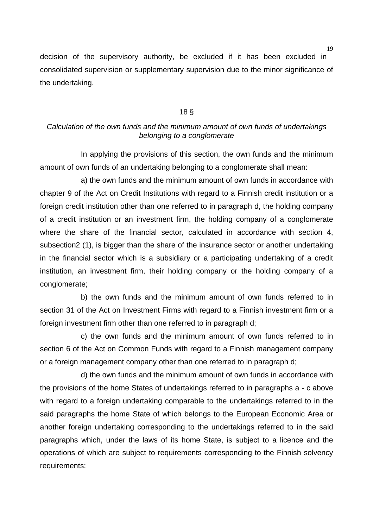decision of the supervisory authority, be excluded if it has been excluded in consolidated supervision or supplementary supervision due to the minor significance of the undertaking.

#### 18 §

# *Calculation of the own funds and the minimum amount of own funds of undertakings belonging to a conglomerate*

In applying the provisions of this section, the own funds and the minimum amount of own funds of an undertaking belonging to a conglomerate shall mean:

a) the own funds and the minimum amount of own funds in accordance with chapter 9 of the Act on Credit Institutions with regard to a Finnish credit institution or a foreign credit institution other than one referred to in paragraph d, the holding company of a credit institution or an investment firm, the holding company of a conglomerate where the share of the financial sector, calculated in accordance with section 4, subsection2 (1), is bigger than the share of the insurance sector or another undertaking in the financial sector which is a subsidiary or a participating undertaking of a credit institution, an investment firm, their holding company or the holding company of a conglomerate;

b) the own funds and the minimum amount of own funds referred to in section 31 of the Act on Investment Firms with regard to a Finnish investment firm or a foreign investment firm other than one referred to in paragraph d;

c) the own funds and the minimum amount of own funds referred to in section 6 of the Act on Common Funds with regard to a Finnish management company or a foreign management company other than one referred to in paragraph d;

d) the own funds and the minimum amount of own funds in accordance with the provisions of the home States of undertakings referred to in paragraphs a - c above with regard to a foreign undertaking comparable to the undertakings referred to in the said paragraphs the home State of which belongs to the European Economic Area or another foreign undertaking corresponding to the undertakings referred to in the said paragraphs which, under the laws of its home State, is subject to a licence and the operations of which are subject to requirements corresponding to the Finnish solvency requirements;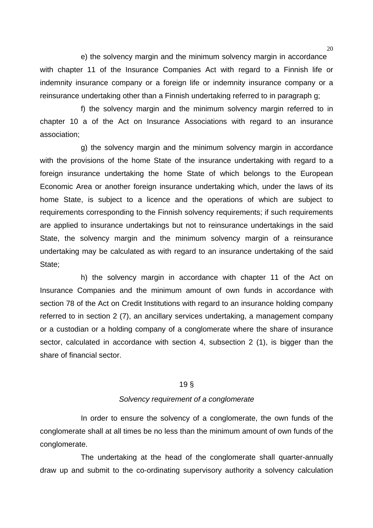e) the solvency margin and the minimum solvency margin in accordance with chapter 11 of the Insurance Companies Act with regard to a Finnish life or indemnity insurance company or a foreign life or indemnity insurance company or a reinsurance undertaking other than a Finnish undertaking referred to in paragraph g;

f) the solvency margin and the minimum solvency margin referred to in chapter 10 a of the Act on Insurance Associations with regard to an insurance association;

g) the solvency margin and the minimum solvency margin in accordance with the provisions of the home State of the insurance undertaking with regard to a foreign insurance undertaking the home State of which belongs to the European Economic Area or another foreign insurance undertaking which, under the laws of its home State, is subject to a licence and the operations of which are subject to requirements corresponding to the Finnish solvency requirements; if such requirements are applied to insurance undertakings but not to reinsurance undertakings in the said State, the solvency margin and the minimum solvency margin of a reinsurance undertaking may be calculated as with regard to an insurance undertaking of the said State;

h) the solvency margin in accordance with chapter 11 of the Act on Insurance Companies and the minimum amount of own funds in accordance with section 78 of the Act on Credit Institutions with regard to an insurance holding company referred to in section 2 (7), an ancillary services undertaking, a management company or a custodian or a holding company of a conglomerate where the share of insurance sector, calculated in accordance with section 4, subsection 2 (1), is bigger than the share of financial sector.

## 19 §

#### *Solvency requirement of a conglomerate*

In order to ensure the solvency of a conglomerate, the own funds of the conglomerate shall at all times be no less than the minimum amount of own funds of the conglomerate.

The undertaking at the head of the conglomerate shall quarter-annually draw up and submit to the co-ordinating supervisory authority a solvency calculation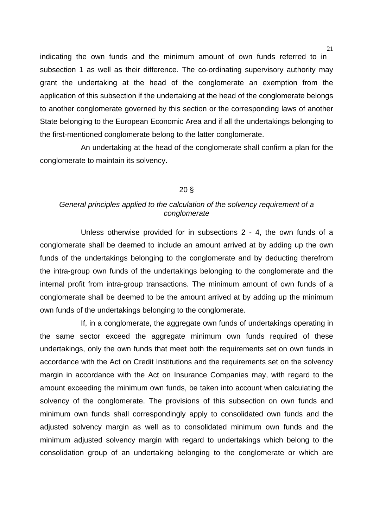indicating the own funds and the minimum amount of own funds referred to in subsection 1 as well as their difference. The co-ordinating supervisory authority may grant the undertaking at the head of the conglomerate an exemption from the application of this subsection if the undertaking at the head of the conglomerate belongs to another conglomerate governed by this section or the corresponding laws of another State belonging to the European Economic Area and if all the undertakings belonging to the first-mentioned conglomerate belong to the latter conglomerate.

An undertaking at the head of the conglomerate shall confirm a plan for the conglomerate to maintain its solvency.

## 20 §

# *General principles applied to the calculation of the solvency requirement of a conglomerate*

Unless otherwise provided for in subsections 2 - 4, the own funds of a conglomerate shall be deemed to include an amount arrived at by adding up the own funds of the undertakings belonging to the conglomerate and by deducting therefrom the intra-group own funds of the undertakings belonging to the conglomerate and the internal profit from intra-group transactions. The minimum amount of own funds of a conglomerate shall be deemed to be the amount arrived at by adding up the minimum own funds of the undertakings belonging to the conglomerate.

If, in a conglomerate, the aggregate own funds of undertakings operating in the same sector exceed the aggregate minimum own funds required of these undertakings, only the own funds that meet both the requirements set on own funds in accordance with the Act on Credit Institutions and the requirements set on the solvency margin in accordance with the Act on Insurance Companies may, with regard to the amount exceeding the minimum own funds, be taken into account when calculating the solvency of the conglomerate. The provisions of this subsection on own funds and minimum own funds shall correspondingly apply to consolidated own funds and the adjusted solvency margin as well as to consolidated minimum own funds and the minimum adjusted solvency margin with regard to undertakings which belong to the consolidation group of an undertaking belonging to the conglomerate or which are

21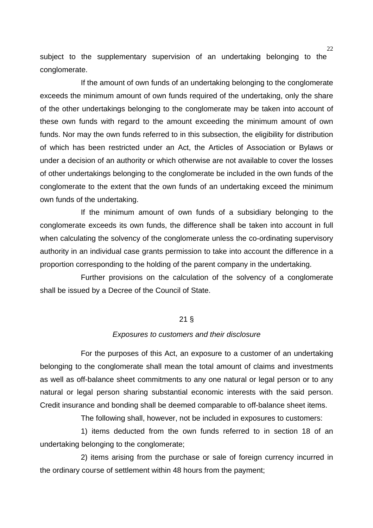subject to the supplementary supervision of an undertaking belonging to the conglomerate.

If the amount of own funds of an undertaking belonging to the conglomerate exceeds the minimum amount of own funds required of the undertaking, only the share of the other undertakings belonging to the conglomerate may be taken into account of these own funds with regard to the amount exceeding the minimum amount of own funds. Nor may the own funds referred to in this subsection, the eligibility for distribution of which has been restricted under an Act, the Articles of Association or Bylaws or under a decision of an authority or which otherwise are not available to cover the losses of other undertakings belonging to the conglomerate be included in the own funds of the conglomerate to the extent that the own funds of an undertaking exceed the minimum own funds of the undertaking.

If the minimum amount of own funds of a subsidiary belonging to the conglomerate exceeds its own funds, the difference shall be taken into account in full when calculating the solvency of the conglomerate unless the co-ordinating supervisory authority in an individual case grants permission to take into account the difference in a proportion corresponding to the holding of the parent company in the undertaking.

Further provisions on the calculation of the solvency of a conglomerate shall be issued by a Decree of the Council of State.

## 21 §

#### *Exposures to customers and their disclosure*

For the purposes of this Act, an exposure to a customer of an undertaking belonging to the conglomerate shall mean the total amount of claims and investments as well as off-balance sheet commitments to any one natural or legal person or to any natural or legal person sharing substantial economic interests with the said person. Credit insurance and bonding shall be deemed comparable to off-balance sheet items.

The following shall, however, not be included in exposures to customers:

1) items deducted from the own funds referred to in section 18 of an undertaking belonging to the conglomerate;

2) items arising from the purchase or sale of foreign currency incurred in the ordinary course of settlement within 48 hours from the payment;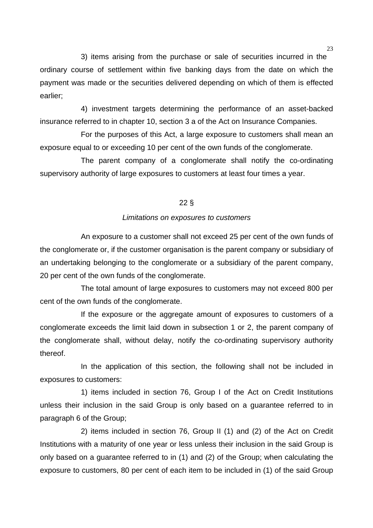3) items arising from the purchase or sale of securities incurred in the ordinary course of settlement within five banking days from the date on which the payment was made or the securities delivered depending on which of them is effected earlier;

4) investment targets determining the performance of an asset-backed insurance referred to in chapter 10, section 3 a of the Act on Insurance Companies.

For the purposes of this Act, a large exposure to customers shall mean an exposure equal to or exceeding 10 per cent of the own funds of the conglomerate.

The parent company of a conglomerate shall notify the co-ordinating supervisory authority of large exposures to customers at least four times a year.

## 22 §

## *Limitations on exposures to customers*

An exposure to a customer shall not exceed 25 per cent of the own funds of the conglomerate or, if the customer organisation is the parent company or subsidiary of an undertaking belonging to the conglomerate or a subsidiary of the parent company, 20 per cent of the own funds of the conglomerate.

The total amount of large exposures to customers may not exceed 800 per cent of the own funds of the conglomerate.

If the exposure or the aggregate amount of exposures to customers of a conglomerate exceeds the limit laid down in subsection 1 or 2, the parent company of the conglomerate shall, without delay, notify the co-ordinating supervisory authority thereof.

In the application of this section, the following shall not be included in exposures to customers:

1) items included in section 76, Group I of the Act on Credit Institutions unless their inclusion in the said Group is only based on a guarantee referred to in paragraph 6 of the Group;

2) items included in section 76, Group II (1) and (2) of the Act on Credit Institutions with a maturity of one year or less unless their inclusion in the said Group is only based on a guarantee referred to in (1) and (2) of the Group; when calculating the exposure to customers, 80 per cent of each item to be included in (1) of the said Group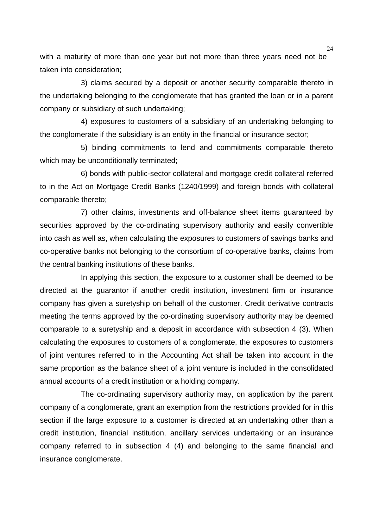with a maturity of more than one year but not more than three years need not be taken into consideration;

3) claims secured by a deposit or another security comparable thereto in the undertaking belonging to the conglomerate that has granted the loan or in a parent company or subsidiary of such undertaking;

4) exposures to customers of a subsidiary of an undertaking belonging to the conglomerate if the subsidiary is an entity in the financial or insurance sector;

5) binding commitments to lend and commitments comparable thereto which may be unconditionally terminated;

6) bonds with public-sector collateral and mortgage credit collateral referred to in the Act on Mortgage Credit Banks (1240/1999) and foreign bonds with collateral comparable thereto;

7) other claims, investments and off-balance sheet items guaranteed by securities approved by the co-ordinating supervisory authority and easily convertible into cash as well as, when calculating the exposures to customers of savings banks and co-operative banks not belonging to the consortium of co-operative banks, claims from the central banking institutions of these banks.

In applying this section, the exposure to a customer shall be deemed to be directed at the guarantor if another credit institution, investment firm or insurance company has given a suretyship on behalf of the customer. Credit derivative contracts meeting the terms approved by the co-ordinating supervisory authority may be deemed comparable to a suretyship and a deposit in accordance with subsection 4 (3). When calculating the exposures to customers of a conglomerate, the exposures to customers of joint ventures referred to in the Accounting Act shall be taken into account in the same proportion as the balance sheet of a joint venture is included in the consolidated annual accounts of a credit institution or a holding company.

The co-ordinating supervisory authority may, on application by the parent company of a conglomerate, grant an exemption from the restrictions provided for in this section if the large exposure to a customer is directed at an undertaking other than a credit institution, financial institution, ancillary services undertaking or an insurance company referred to in subsection 4 (4) and belonging to the same financial and insurance conglomerate.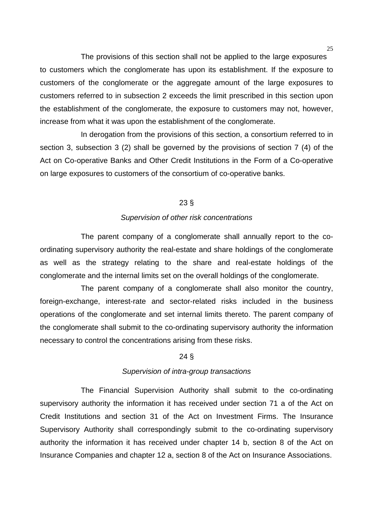The provisions of this section shall not be applied to the large exposures to customers which the conglomerate has upon its establishment. If the exposure to customers of the conglomerate or the aggregate amount of the large exposures to customers referred to in subsection 2 exceeds the limit prescribed in this section upon the establishment of the conglomerate, the exposure to customers may not, however, increase from what it was upon the establishment of the conglomerate.

In derogation from the provisions of this section, a consortium referred to in section 3, subsection 3 (2) shall be governed by the provisions of section 7 (4) of the Act on Co-operative Banks and Other Credit Institutions in the Form of a Co-operative on large exposures to customers of the consortium of co-operative banks.

## 23 §

## *Supervision of other risk concentrations*

The parent company of a conglomerate shall annually report to the coordinating supervisory authority the real-estate and share holdings of the conglomerate as well as the strategy relating to the share and real-estate holdings of the conglomerate and the internal limits set on the overall holdings of the conglomerate.

The parent company of a conglomerate shall also monitor the country, foreign-exchange, interest-rate and sector-related risks included in the business operations of the conglomerate and set internal limits thereto. The parent company of the conglomerate shall submit to the co-ordinating supervisory authority the information necessary to control the concentrations arising from these risks.

## 24 §

## *Supervision of intra-group transactions*

The Financial Supervision Authority shall submit to the co-ordinating supervisory authority the information it has received under section 71 a of the Act on Credit Institutions and section 31 of the Act on Investment Firms. The Insurance Supervisory Authority shall correspondingly submit to the co-ordinating supervisory authority the information it has received under chapter 14 b, section 8 of the Act on Insurance Companies and chapter 12 a, section 8 of the Act on Insurance Associations.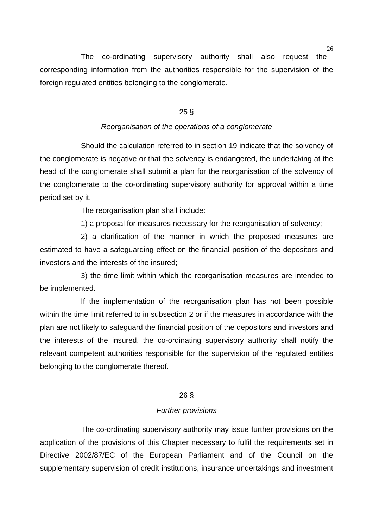The co-ordinating supervisory authority shall also request the corresponding information from the authorities responsible for the supervision of the foreign regulated entities belonging to the conglomerate.

#### 25 §

#### *Reorganisation of the operations of a conglomerate*

Should the calculation referred to in section 19 indicate that the solvency of the conglomerate is negative or that the solvency is endangered, the undertaking at the head of the conglomerate shall submit a plan for the reorganisation of the solvency of the conglomerate to the co-ordinating supervisory authority for approval within a time period set by it.

The reorganisation plan shall include:

1) a proposal for measures necessary for the reorganisation of solvency;

2) a clarification of the manner in which the proposed measures are estimated to have a safeguarding effect on the financial position of the depositors and investors and the interests of the insured;

3) the time limit within which the reorganisation measures are intended to be implemented.

If the implementation of the reorganisation plan has not been possible within the time limit referred to in subsection 2 or if the measures in accordance with the plan are not likely to safeguard the financial position of the depositors and investors and the interests of the insured, the co-ordinating supervisory authority shall notify the relevant competent authorities responsible for the supervision of the regulated entities belonging to the conglomerate thereof.

## 26 §

#### *Further provisions*

The co-ordinating supervisory authority may issue further provisions on the application of the provisions of this Chapter necessary to fulfil the requirements set in Directive 2002/87/EC of the European Parliament and of the Council on the supplementary supervision of credit institutions, insurance undertakings and investment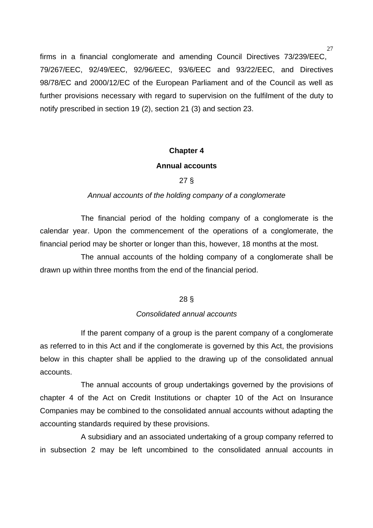firms in a financial conglomerate and amending Council Directives 73/239/EEC, 79/267/EEC, 92/49/EEC, 92/96/EEC, 93/6/EEC and 93/22/EEC, and Directives 98/78/EC and 2000/12/EC of the European Parliament and of the Council as well as further provisions necessary with regard to supervision on the fulfilment of the duty to notify prescribed in section 19 (2), section 21 (3) and section 23.

## **Chapter 4**

## **Annual accounts**

# 27 §

## *Annual accounts of the holding company of a conglomerate*

The financial period of the holding company of a conglomerate is the calendar year. Upon the commencement of the operations of a conglomerate, the financial period may be shorter or longer than this, however, 18 months at the most.

The annual accounts of the holding company of a conglomerate shall be drawn up within three months from the end of the financial period.

## 28 §

## *Consolidated annual accounts*

If the parent company of a group is the parent company of a conglomerate as referred to in this Act and if the conglomerate is governed by this Act, the provisions below in this chapter shall be applied to the drawing up of the consolidated annual accounts.

The annual accounts of group undertakings governed by the provisions of chapter 4 of the Act on Credit Institutions or chapter 10 of the Act on Insurance Companies may be combined to the consolidated annual accounts without adapting the accounting standards required by these provisions.

A subsidiary and an associated undertaking of a group company referred to in subsection 2 may be left uncombined to the consolidated annual accounts in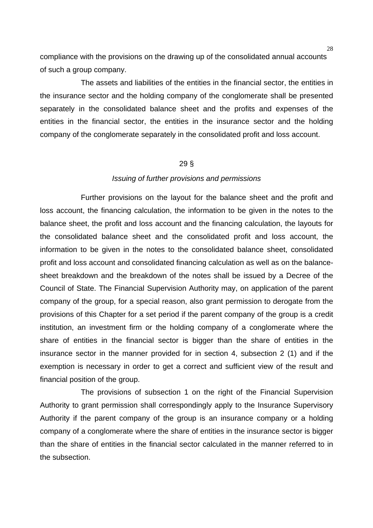compliance with the provisions on the drawing up of the consolidated annual accounts of such a group company.

The assets and liabilities of the entities in the financial sector, the entities in the insurance sector and the holding company of the conglomerate shall be presented separately in the consolidated balance sheet and the profits and expenses of the entities in the financial sector, the entities in the insurance sector and the holding company of the conglomerate separately in the consolidated profit and loss account.

## 29 §

#### *Issuing of further provisions and permissions*

Further provisions on the layout for the balance sheet and the profit and loss account, the financing calculation, the information to be given in the notes to the balance sheet, the profit and loss account and the financing calculation, the layouts for the consolidated balance sheet and the consolidated profit and loss account, the information to be given in the notes to the consolidated balance sheet, consolidated profit and loss account and consolidated financing calculation as well as on the balancesheet breakdown and the breakdown of the notes shall be issued by a Decree of the Council of State. The Financial Supervision Authority may, on application of the parent company of the group, for a special reason, also grant permission to derogate from the provisions of this Chapter for a set period if the parent company of the group is a credit institution, an investment firm or the holding company of a conglomerate where the share of entities in the financial sector is bigger than the share of entities in the insurance sector in the manner provided for in section 4, subsection 2 (1) and if the exemption is necessary in order to get a correct and sufficient view of the result and financial position of the group.

The provisions of subsection 1 on the right of the Financial Supervision Authority to grant permission shall correspondingly apply to the Insurance Supervisory Authority if the parent company of the group is an insurance company or a holding company of a conglomerate where the share of entities in the insurance sector is bigger than the share of entities in the financial sector calculated in the manner referred to in the subsection.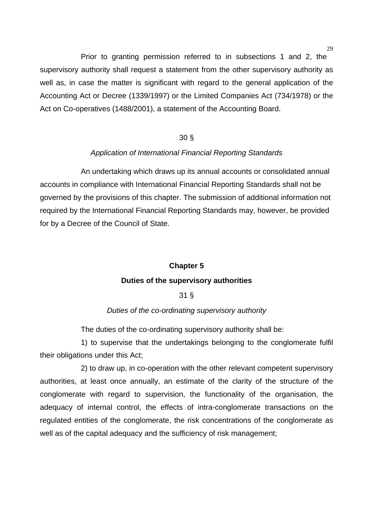$29$ 

Prior to granting permission referred to in subsections 1 and 2, the supervisory authority shall request a statement from the other supervisory authority as well as, in case the matter is significant with regard to the general application of the Accounting Act or Decree (1339/1997) or the Limited Companies Act (734/1978) or the Act on Co-operatives (1488/2001), a statement of the Accounting Board.

# 30 §

## *Application of International Financial Reporting Standards*

An undertaking which draws up its annual accounts or consolidated annual accounts in compliance with International Financial Reporting Standards shall not be governed by the provisions of this chapter. The submission of additional information not required by the International Financial Reporting Standards may, however, be provided for by a Decree of the Council of State.

## **Chapter 5**

## **Duties of the supervisory authorities**

# 31 §

## *Duties of the co-ordinating supervisory authority*

The duties of the co-ordinating supervisory authority shall be:

1) to supervise that the undertakings belonging to the conglomerate fulfil their obligations under this Act;

2) to draw up, in co-operation with the other relevant competent supervisory authorities, at least once annually, an estimate of the clarity of the structure of the conglomerate with regard to supervision, the functionality of the organisation, the adequacy of internal control, the effects of intra-conglomerate transactions on the regulated entities of the conglomerate, the risk concentrations of the conglomerate as well as of the capital adequacy and the sufficiency of risk management;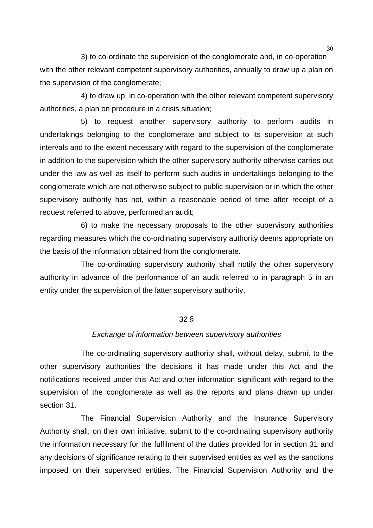3) to co-ordinate the supervision of the conglomerate and, in co-operation with the other relevant competent supervisory authorities, annually to draw up a plan on the supervision of the conglomerate;

4) to draw up, in co-operation with the other relevant competent supervisory authorities, a plan on procedure in a crisis situation;

5) to request another supervisory authority to perform audits in undertakings belonging to the conglomerate and subject to its supervision at such intervals and to the extent necessary with regard to the supervision of the conglomerate in addition to the supervision which the other supervisory authority otherwise carries out under the law as well as itself to perform such audits in undertakings belonging to the conglomerate which are not otherwise subject to public supervision or in which the other supervisory authority has not, within a reasonable period of time after receipt of a request referred to above, performed an audit;

6) to make the necessary proposals to the other supervisory authorities regarding measures which the co-ordinating supervisory authority deems appropriate on the basis of the information obtained from the conglomerate.

The co-ordinating supervisory authority shall notify the other supervisory authority in advance of the performance of an audit referred to in paragraph 5 in an entity under the supervision of the latter supervisory authority.

#### 32 §

#### *Exchange of information between supervisory authorities*

The co-ordinating supervisory authority shall, without delay, submit to the other supervisory authorities the decisions it has made under this Act and the notifications received under this Act and other information significant with regard to the supervision of the conglomerate as well as the reports and plans drawn up under section 31.

The Financial Supervision Authority and the Insurance Supervisory Authority shall, on their own initiative, submit to the co-ordinating supervisory authority the information necessary for the fulfilment of the duties provided for in section 31 and any decisions of significance relating to their supervised entities as well as the sanctions imposed on their supervised entities. The Financial Supervision Authority and the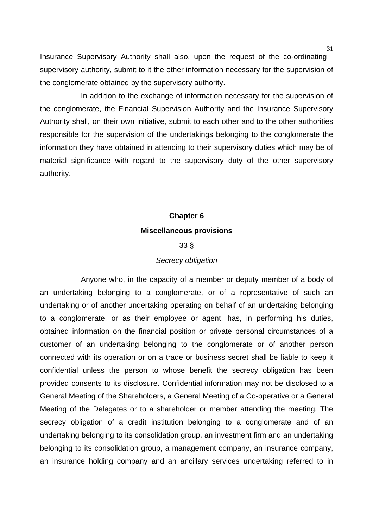Insurance Supervisory Authority shall also, upon the request of the co-ordinating supervisory authority, submit to it the other information necessary for the supervision of the conglomerate obtained by the supervisory authority.

In addition to the exchange of information necessary for the supervision of the conglomerate, the Financial Supervision Authority and the Insurance Supervisory Authority shall, on their own initiative, submit to each other and to the other authorities responsible for the supervision of the undertakings belonging to the conglomerate the information they have obtained in attending to their supervisory duties which may be of material significance with regard to the supervisory duty of the other supervisory authority.

# **Chapter 6 Miscellaneous provisions**

## 33 §

## *Secrecy obligation*

Anyone who, in the capacity of a member or deputy member of a body of an undertaking belonging to a conglomerate, or of a representative of such an undertaking or of another undertaking operating on behalf of an undertaking belonging to a conglomerate, or as their employee or agent, has, in performing his duties, obtained information on the financial position or private personal circumstances of a customer of an undertaking belonging to the conglomerate or of another person connected with its operation or on a trade or business secret shall be liable to keep it confidential unless the person to whose benefit the secrecy obligation has been provided consents to its disclosure. Confidential information may not be disclosed to a General Meeting of the Shareholders, a General Meeting of a Co-operative or a General Meeting of the Delegates or to a shareholder or member attending the meeting. The secrecy obligation of a credit institution belonging to a conglomerate and of an undertaking belonging to its consolidation group, an investment firm and an undertaking belonging to its consolidation group, a management company, an insurance company, an insurance holding company and an ancillary services undertaking referred to in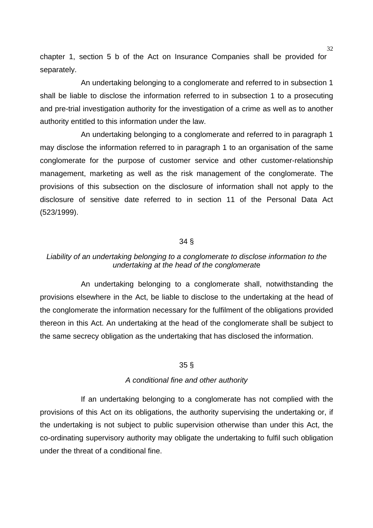chapter 1, section 5 b of the Act on Insurance Companies shall be provided for separately.

An undertaking belonging to a conglomerate and referred to in subsection 1 shall be liable to disclose the information referred to in subsection 1 to a prosecuting and pre-trial investigation authority for the investigation of a crime as well as to another authority entitled to this information under the law.

An undertaking belonging to a conglomerate and referred to in paragraph 1 may disclose the information referred to in paragraph 1 to an organisation of the same conglomerate for the purpose of customer service and other customer-relationship management, marketing as well as the risk management of the conglomerate. The provisions of this subsection on the disclosure of information shall not apply to the disclosure of sensitive date referred to in section 11 of the Personal Data Act (523/1999).

#### 34 §

# *Liability of an undertaking belonging to a conglomerate to disclose information to the undertaking at the head of the conglomerat*e

An undertaking belonging to a conglomerate shall, notwithstanding the provisions elsewhere in the Act, be liable to disclose to the undertaking at the head of the conglomerate the information necessary for the fulfilment of the obligations provided thereon in this Act. An undertaking at the head of the conglomerate shall be subject to the same secrecy obligation as the undertaking that has disclosed the information.

## 35 §

#### *A conditional fine and other authority*

If an undertaking belonging to a conglomerate has not complied with the provisions of this Act on its obligations, the authority supervising the undertaking or, if the undertaking is not subject to public supervision otherwise than under this Act, the co-ordinating supervisory authority may obligate the undertaking to fulfil such obligation under the threat of a conditional fine.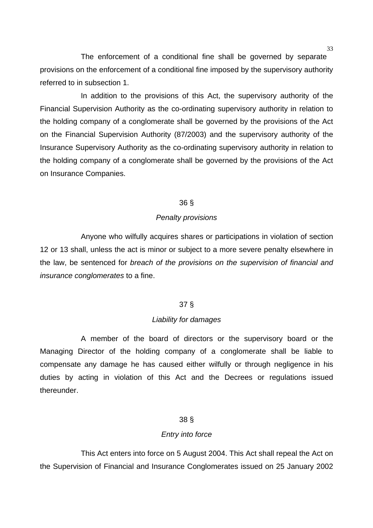The enforcement of a conditional fine shall be governed by separate provisions on the enforcement of a conditional fine imposed by the supervisory authority referred to in subsection 1.

In addition to the provisions of this Act, the supervisory authority of the Financial Supervision Authority as the co-ordinating supervisory authority in relation to the holding company of a conglomerate shall be governed by the provisions of the Act on the Financial Supervision Authority (87/2003) and the supervisory authority of the Insurance Supervisory Authority as the co-ordinating supervisory authority in relation to the holding company of a conglomerate shall be governed by the provisions of the Act on Insurance Companies.

#### 36 §

#### *Penalty provisions*

Anyone who wilfully acquires shares or participations in violation of section 12 or 13 shall, unless the act is minor or subject to a more severe penalty elsewhere in the law, be sentenced for *breach of the provisions on the supervision of financial and insurance conglomerates* to a fine.

## 37 §

#### *Liability for damages*

A member of the board of directors or the supervisory board or the Managing Director of the holding company of a conglomerate shall be liable to compensate any damage he has caused either wilfully or through negligence in his duties by acting in violation of this Act and the Decrees or regulations issued thereunder.

## 38 §

#### *Entry into force*

This Act enters into force on 5 August 2004. This Act shall repeal the Act on the Supervision of Financial and Insurance Conglomerates issued on 25 January 2002